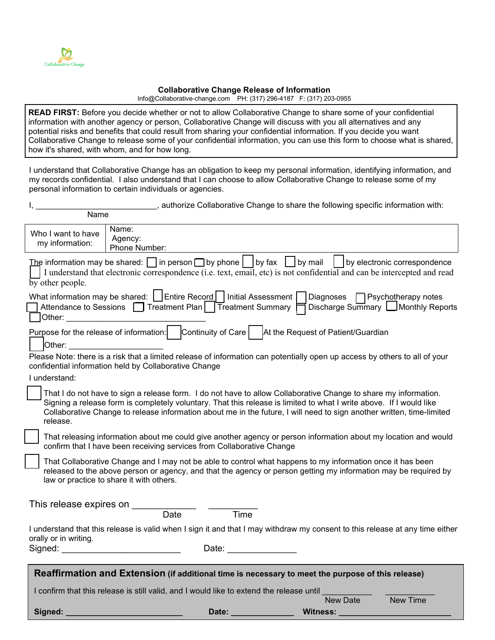

## **Collaborative Change Release of Information**

[Info@Collaborative-change.com PH: \(317\)](mailto:Info@Collaborative-change.com%20%20%20%20PH:%20(317)) 296-4187 F: (317) 203-0955

**READ FIRST:** Before you decide whether or not to allow Collaborative Change to share some of your confidential information with another agency or person, Collaborative Change will discuss with you all alternatives and any potential risks and benefits that could result from sharing your confidential information. If you decide you want Collaborative Change to release some of your confidential information, you can use this form to choose what is shared, how it's shared, with whom, and for how long.

I understand that Collaborative Change has an obligation to keep my personal information, identifying information, and my records confidential. I also understand that I can choose to allow Collaborative Change to release some of my personal information to certain individuals or agencies.

|                                                                                                                                |                                                                                                                                           |       | , authorize Collaborative Change to share the following specific information with:                                                                                                                                                                                                                                                                              |                                    |
|--------------------------------------------------------------------------------------------------------------------------------|-------------------------------------------------------------------------------------------------------------------------------------------|-------|-----------------------------------------------------------------------------------------------------------------------------------------------------------------------------------------------------------------------------------------------------------------------------------------------------------------------------------------------------------------|------------------------------------|
| Name                                                                                                                           |                                                                                                                                           |       |                                                                                                                                                                                                                                                                                                                                                                 |                                    |
| Who I want to have<br>my information:                                                                                          | Name:<br>Agency:<br>Phone Number:                                                                                                         |       |                                                                                                                                                                                                                                                                                                                                                                 |                                    |
| $\overline{by}$ other people.                                                                                                  |                                                                                                                                           |       | The information may be shared: $\Box$ in person $\Box$ by phone $\Box$ by fax $\Box$ by mail $\Box$ by electronic correspondence<br>I understand that electronic correspondence (i.e. text, email, etc) is not confidential and can be intercepted and read                                                                                                     |                                    |
| Other:                                                                                                                         | What information may be shared:   Entire Record   Initial Assessment  <br>1 Attendance to Sessions □ Treatment Plan   Treatment Summary F |       | Diagnoses <b>P</b> Psychotherapy notes                                                                                                                                                                                                                                                                                                                          | Discharge Summary UMonthly Reports |
| Other:                                                                                                                         |                                                                                                                                           |       | Purpose for the release of information:   Continuity of Care     At the Request of Patient/Guardian                                                                                                                                                                                                                                                             |                                    |
| I understand:                                                                                                                  | confidential information held by Collaborative Change                                                                                     |       | Please Note: there is a risk that a limited release of information can potentially open up access by others to all of your                                                                                                                                                                                                                                      |                                    |
| release.                                                                                                                       |                                                                                                                                           |       | That I do not have to sign a release form. I do not have to allow Collaborative Change to share my information.<br>Signing a release form is completely voluntary. That this release is limited to what I write above. If I would like<br>Collaborative Change to release information about me in the future, I will need to sign another written, time-limited |                                    |
|                                                                                                                                | confirm that I have been receiving services from Collaborative Change                                                                     |       | That releasing information about me could give another agency or person information about my location and would                                                                                                                                                                                                                                                 |                                    |
|                                                                                                                                | law or practice to share it with others.                                                                                                  |       | That Collaborative Change and I may not be able to control what happens to my information once it has been<br>released to the above person or agency, and that the agency or person getting my information may be required by                                                                                                                                   |                                    |
| This release expires on                                                                                                        | Date                                                                                                                                      | Time  |                                                                                                                                                                                                                                                                                                                                                                 |                                    |
| orally or in writing.<br>Signed:                                                                                               |                                                                                                                                           | Date: | I understand that this release is valid when I sign it and that I may withdraw my consent to this release at any time either                                                                                                                                                                                                                                    |                                    |
|                                                                                                                                |                                                                                                                                           |       | Reaffirmation and Extension (if additional time is necessary to meet the purpose of this release)                                                                                                                                                                                                                                                               |                                    |
| I confirm that this release is still valid, and I would like to extend the release until<br><b>New Time</b><br><b>New Date</b> |                                                                                                                                           |       |                                                                                                                                                                                                                                                                                                                                                                 |                                    |
| Signed:                                                                                                                        |                                                                                                                                           | Date: | <b>Witness:</b>                                                                                                                                                                                                                                                                                                                                                 |                                    |